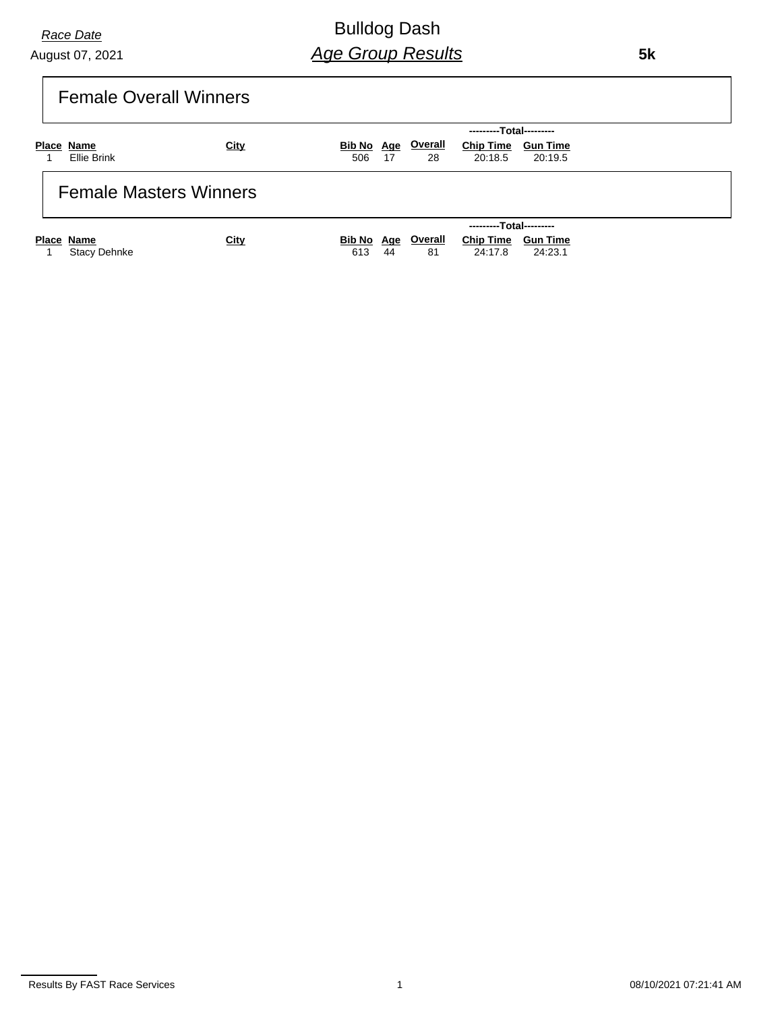Bulldog Dash *Age Group Results*

 **5k**

| Female Overall Winners |
|------------------------|
|                        |
|                        |
|                        |

|                               |             | ---------Total---------                                             |
|-------------------------------|-------------|---------------------------------------------------------------------|
| Place Name                    | <u>City</u> | <b>Overall</b><br><b>Chip Time</b><br>Bib No Age<br><b>Gun Time</b> |
| Ellie Brink                   |             | 20:18.5<br>506<br>- 17<br>28<br>20:19.5                             |
| <b>Female Masters Winners</b> |             |                                                                     |
|                               |             | ---------Total---------                                             |
| Place Name                    | <u>City</u> | <b>Overall</b><br><b>Chip Time</b><br>Bib No Age<br><b>Gun Time</b> |
| <b>Stacy Dehnke</b>           |             | 24:17.8<br>44<br>24:23.1<br>613<br>81                               |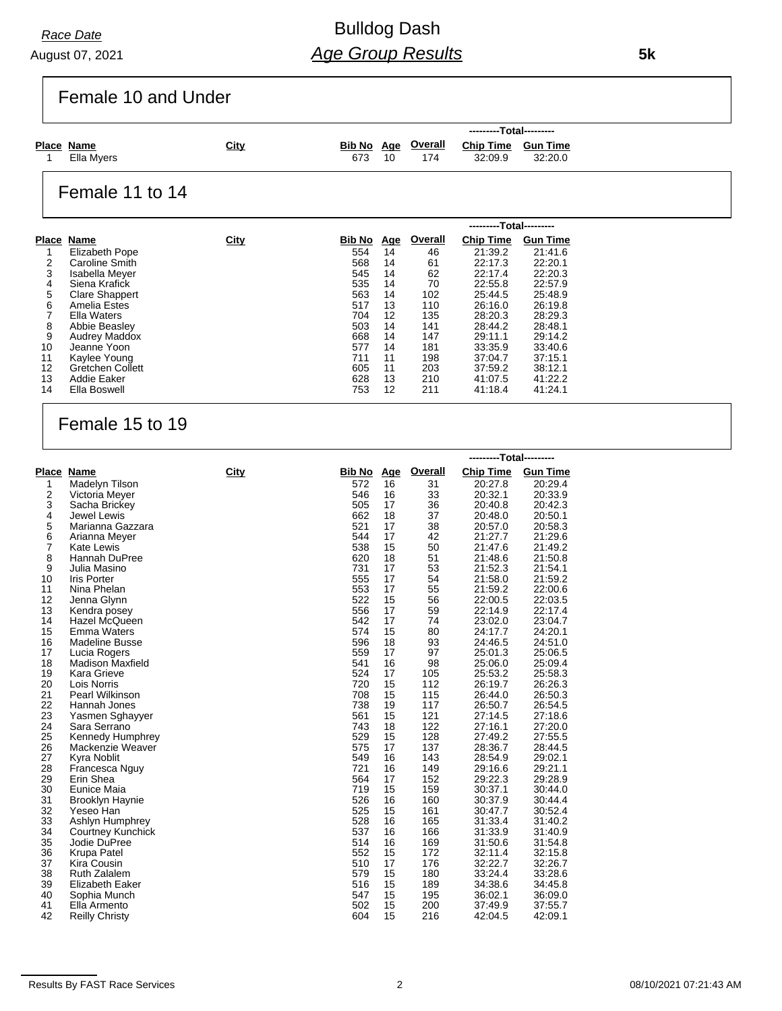# Bulldog Dash *Age Group Results*

 **5k**

Female 10 and Under

| <u>Age Overall</u><br><u>City</u><br><b>Chip Time</b><br>Place Name<br><b>Bib No</b><br><b>Gun Time</b><br>Ella Myers<br>673<br>32:20.0<br>32:09.9<br>174<br>10 |  |  |  | ---------Total--------- |  |
|-----------------------------------------------------------------------------------------------------------------------------------------------------------------|--|--|--|-------------------------|--|
|                                                                                                                                                                 |  |  |  |                         |  |

### Female 11 to 14

|    |                         |             |        |            |         | ---------Total--------- |                 |
|----|-------------------------|-------------|--------|------------|---------|-------------------------|-----------------|
|    | Place Name              | <b>City</b> | Bib No | <u>Age</u> | Overall | <b>Chip Time</b>        | <b>Gun Time</b> |
|    | Elizabeth Pope          |             | 554    | 14         | 46      | 21:39.2                 | 21:41.6         |
| 2  | <b>Caroline Smith</b>   |             | 568    | 14         | 61      | 22:17.3                 | 22:20.1         |
| 3  | Isabella Meyer          |             | 545    | 14         | 62      | 22:17.4                 | 22:20.3         |
| 4  | Siena Krafick           |             | 535    | 14         | 70      | 22:55.8                 | 22:57.9         |
| 5  | Clare Shappert          |             | 563    | 14         | 102     | 25:44.5                 | 25:48.9         |
| 6  | Amelia Estes            |             | 517    | 13         | 110     | 26:16.0                 | 26:19.8         |
|    | <b>Ella Waters</b>      |             | 704    | 12         | 135     | 28:20.3                 | 28:29.3         |
| 8  | Abbie Beasley           |             | 503    | 14         | 141     | 28:44.2                 | 28:48.1         |
| 9  | <b>Audrey Maddox</b>    |             | 668    | 14         | 147     | 29:11.1                 | 29:14.2         |
| 10 | Jeanne Yoon             |             | 577    | 14         | 181     | 33:35.9                 | 33:40.6         |
| 11 | Kaylee Young            |             | 711    | 11         | 198     | 37:04.7                 | 37:15.1         |
| 12 | <b>Gretchen Collett</b> |             | 605    | 11         | 203     | 37:59.2                 | 38:12.1         |
| 13 | Addie Eaker             |             | 628    | 13         | 210     | 41:07.5                 | 41:22.2         |
| 14 | Ella Boswell            |             | 753    | 12         | 211     | 41:18.4                 | 41:24.1         |

### Female 15 to 19

|                |                          |             |               |     |         | ---------Total--------- |                 |
|----------------|--------------------------|-------------|---------------|-----|---------|-------------------------|-----------------|
|                | Place Name               | <b>City</b> | <b>Bib No</b> | Age | Overall | <b>Chip Time</b>        | <b>Gun Time</b> |
| 1              | Madelyn Tilson           |             | 572           | 16  | 31      | 20:27.8                 | 20:29.4         |
| 2              | Victoria Meyer           |             | 546           | 16  | 33      | 20:32.1                 | 20:33.9         |
| 3              | Sacha Brickey            |             | 505           | 17  | 36      | 20:40.8                 | 20:42.3         |
| 4              | Jewel Lewis              |             | 662           | 18  | 37      | 20:48.0                 | 20:50.1         |
| 5              | Marianna Gazzara         |             | 521           | 17  | 38      | 20:57.0                 | 20:58.3         |
| 6              | Arianna Meyer            |             | 544           | 17  | 42      | 21:27.7                 | 21:29.6         |
| $\overline{7}$ | <b>Kate Lewis</b>        |             | 538           | 15  | 50      | 21:47.6                 | 21:49.2         |
| 8              | Hannah DuPree            |             | 620           | 18  | 51      | 21:48.6                 | 21:50.8         |
| 9              | Julia Masino             |             | 731           | 17  | 53      | 21:52.3                 | 21:54.1         |
| 10             | <b>Iris Porter</b>       |             | 555           | 17  | 54      | 21:58.0                 | 21:59.2         |
| 11             | Nina Phelan              |             | 553           | 17  | 55      | 21:59.2                 | 22:00.6         |
| 12             | Jenna Glynn              |             | 522           | 15  | 56      | 22:00.5                 | 22:03.5         |
| 13             | Kendra posey             |             | 556           | 17  | 59      | 22:14.9                 | 22:17.4         |
| 14             | Hazel McQueen            |             | 542           | 17  | 74      | 23:02.0                 | 23:04.7         |
| 15             | <b>Emma Waters</b>       |             | 574           | 15  | 80      | 24:17.7                 | 24:20.1         |
| 16             | <b>Madeline Busse</b>    |             | 596           | 18  | 93      | 24:46.5                 | 24:51.0         |
| 17             | Lucia Rogers             |             | 559           | 17  | 97      | 25:01.3                 | 25:06.5         |
| 18             | <b>Madison Maxfield</b>  |             | 541           | 16  | 98      | 25:06.0                 | 25:09.4         |
| 19             | Kara Grieve              |             | 524           | 17  | 105     | 25:53.2                 | 25:58.3         |
| 20             | Lois Norris              |             | 720           | 15  | 112     | 26:19.7                 | 26:26.3         |
| 21             | <b>Pearl Wilkinson</b>   |             | 708           | 15  | 115     | 26:44.0                 | 26:50.3         |
| 22             | Hannah Jones             |             | 738           | 19  | 117     | 26:50.7                 | 26:54.5         |
| 23             | Yasmen Sghayyer          |             | 561           | 15  | 121     | 27:14.5                 | 27:18.6         |
| 24             | Sara Serrano             |             | 743           | 18  | 122     | 27:16.1                 | 27:20.0         |
| 25             | Kennedy Humphrey         |             | 529           | 15  | 128     | 27:49.2                 | 27:55.5         |
| 26             | Mackenzie Weaver         |             | 575           | 17  | 137     | 28:36.7                 | 28:44.5         |
| 27             | Kyra Noblit              |             | 549           | 16  | 143     | 28:54.9                 | 29:02.1         |
| 28             | Francesca Nguy           |             | 721           | 16  | 149     | 29:16.6                 | 29:21.1         |
| 29             | Erin Shea                |             | 564           | 17  | 152     | 29:22.3                 | 29:28.9         |
| 30             | Eunice Maia              |             | 719           | 15  | 159     | 30:37.1                 | 30:44.0         |
| 31             | Brooklyn Haynie          |             | 526           | 16  | 160     | 30:37.9                 | 30:44.4         |
| 32             | Yeseo Han                |             | 525           | 15  | 161     | 30:47.7                 | 30:52.4         |
| 33             | Ashlyn Humphrey          |             | 528           | 16  | 165     | 31:33.4                 | 31:40.2         |
| 34             | <b>Courtney Kunchick</b> |             | 537           | 16  | 166     | 31:33.9                 | 31:40.9         |
| 35             | Jodie DuPree             |             | 514           | 16  | 169     | 31:50.6                 | 31:54.8         |
| 36             | Krupa Patel              |             | 552           | 15  | 172     | 32:11.4                 | 32:15.8         |
| 37             | Kira Cousin              |             | 510           | 17  | 176     | 32:22.7                 | 32:26.7         |
| 38             | <b>Ruth Zalalem</b>      |             | 579           | 15  | 180     | 33:24.4                 | 33:28.6         |
| 39             | Elizabeth Eaker          |             | 516           | 15  | 189     | 34:38.6                 | 34:45.8         |
| 40             | Sophia Munch             |             | 547           | 15  | 195     | 36:02.1                 | 36:09.0         |
| 41             | Ella Armento             |             | 502           | 15  | 200     | 37:49.9                 | 37:55.7         |
| 42             | <b>Reilly Christy</b>    |             | 604           | 15  | 216     | 42:04.5                 | 42:09.1         |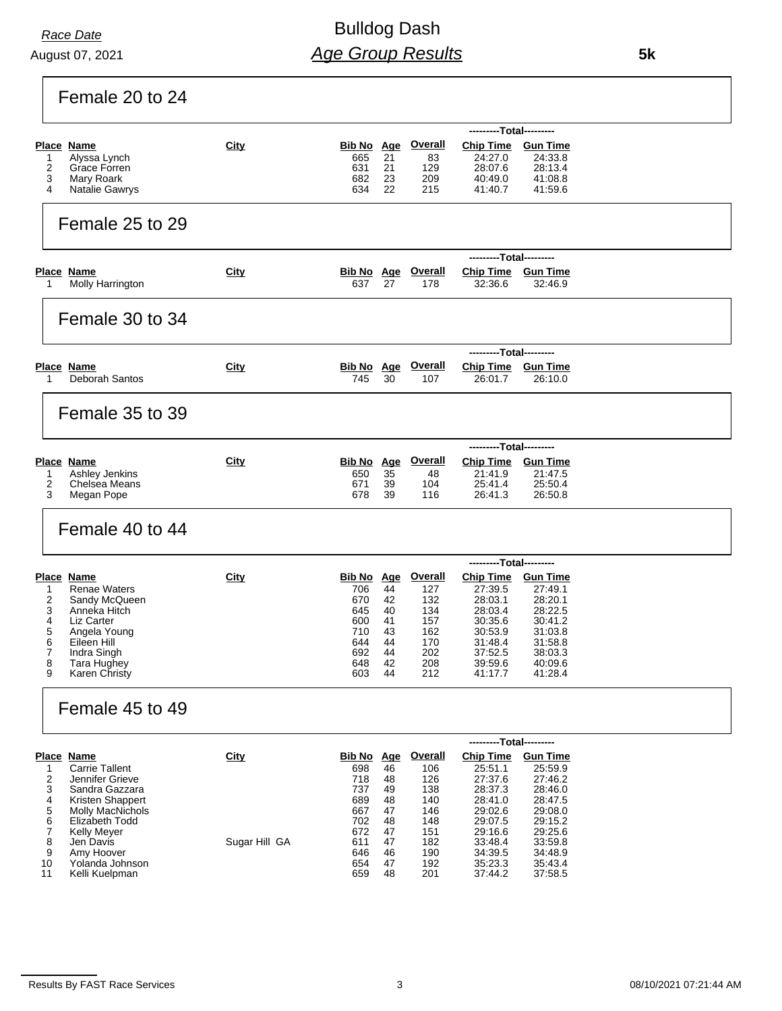# Bulldog Dash *Age Group Results*

Female 20 to 24

|                |                                             |               |                   |          |                           | ---------Total---------                     |                    |  |
|----------------|---------------------------------------------|---------------|-------------------|----------|---------------------------|---------------------------------------------|--------------------|--|
|                | <b>Place Name</b>                           | <b>City</b>   | Bib No Age        |          | <b>Overall</b>            | <b>Chip Time</b>                            | <b>Gun Time</b>    |  |
| 1<br>2         | Alyssa Lynch<br>Grace Forren                |               | 665<br>631        | 21<br>21 | 83<br>129                 | 24:27.0<br>28.07.6                          | 24:33.8<br>28:13.4 |  |
| 3              | Mary Roark                                  |               | 682               | 23       | 209                       | 40:49.0                                     | 41:08.8            |  |
| 4              | Natalie Gawrys                              |               | 634               | 22       | 215                       | 41:40.7                                     | 41:59.6            |  |
|                |                                             |               |                   |          |                           |                                             |                    |  |
|                | Female 25 to 29                             |               |                   |          |                           |                                             |                    |  |
|                |                                             |               |                   |          |                           |                                             |                    |  |
|                |                                             |               |                   |          |                           | ---------Total---------                     |                    |  |
|                | <b>Place Name</b>                           | City          |                   |          | <b>Bib No Age Overall</b> | Chip Time Gun Time                          |                    |  |
| 1              | Molly Harrington                            |               | 637               | 27       | 178                       | 32:36.6                                     | 32:46.9            |  |
|                |                                             |               |                   |          |                           |                                             |                    |  |
|                | Female 30 to 34                             |               |                   |          |                           |                                             |                    |  |
|                |                                             |               |                   |          |                           |                                             |                    |  |
|                |                                             |               |                   |          |                           |                                             |                    |  |
|                |                                             |               |                   |          |                           | ---------Total---------                     |                    |  |
| 1              | <b>Place Name</b><br>Deborah Santos         | City          | Bib No Age<br>745 | 30       | <b>Overall</b><br>107     | Chip Time Gun Time<br>26.01.7               | 26:10.0            |  |
|                |                                             |               |                   |          |                           |                                             |                    |  |
|                |                                             |               |                   |          |                           |                                             |                    |  |
|                | Female 35 to 39                             |               |                   |          |                           |                                             |                    |  |
|                |                                             |               |                   |          |                           |                                             |                    |  |
|                |                                             |               |                   |          |                           | ---------Total---------                     |                    |  |
|                | Place Name                                  | City          | <b>Bib No</b> Age |          | <b>Overall</b>            | Chip Time Gun Time                          |                    |  |
| 1<br>2         | Ashley Jenkins<br>Chelsea Means             |               | 650<br>671        | 35<br>39 | 48<br>104                 | 21:41.9<br>25:41.4                          | 21:47.5<br>25:50.4 |  |
| 3              | Megan Pope                                  |               | 678               | 39       | 116                       | 26:41.3                                     | 26:50.8            |  |
|                | Female 40 to 44                             |               |                   |          |                           |                                             |                    |  |
|                |                                             |               |                   |          |                           | ---------Total---------                     |                    |  |
|                | <b>Place Name</b>                           | City          | <b>Bib No</b> Age |          | <b>Overall</b>            | Chip Time Gun Time                          |                    |  |
| 1              | <b>Renae Waters</b>                         |               | 706               | 44       | 127                       | 27:39.5                                     | 27:49.1            |  |
| 2              | Sandy McQueen                               |               | 670               | 42       | 132                       | 28:03.1                                     | 28:20.1            |  |
| 3<br>4         | Anneka Hitch<br>Liz Carter                  |               | 645<br>600        | 40<br>41 | 134<br>157                | 28:03.4<br>30:35.6                          | 28:22.5<br>30:41.2 |  |
| 5              | Angela Young                                |               | 710               | 43       | 162                       | 30:53.9                                     | 31:03.8            |  |
| 6              | Eileen Hill                                 |               | 644               | 44       | 170                       | 31:48.4                                     | 31:58.8            |  |
| 7<br>8         | Indra Singh<br>Tara Hughey                  |               | 692<br>648        | 44<br>42 | 202<br>208                | 37:52.5<br>39.59.6                          | 38:03.3<br>40:09.6 |  |
| 9              | Karen Christy                               |               | 603               | 44       | 212                       | 41:17.7                                     | 41:28.4            |  |
|                |                                             |               |                   |          |                           |                                             |                    |  |
|                | Female 45 to 49                             |               |                   |          |                           |                                             |                    |  |
|                |                                             |               |                   |          |                           |                                             |                    |  |
|                | <b>Place Name</b>                           | <b>City</b>   | <b>Bib No Age</b> |          | <b>Overall</b>            | ---------Total---------<br><b>Chip Time</b> | <b>Gun Time</b>    |  |
| 1              | <b>Carrie Tallent</b>                       |               | 698               | 46       | 106                       | 25:51.1                                     | 25:59.9            |  |
| 2              | Jennifer Grieve                             |               | 718               | 48       | 126                       | 27:37.6                                     | 27:46.2            |  |
| 3              | Sandra Gazzara                              |               | 737               | 49       | 138                       | 28:37.3                                     | 28:46.0            |  |
| 4<br>5         | Kristen Shappert<br><b>Molly MacNichols</b> |               | 689<br>667        | 48<br>47 | 140<br>146                | 28:41.0<br>29:02.6                          | 28:47.5<br>29:08.0 |  |
| 6              | Elizabeth Todd                              |               | 702               | 48       | 148                       | 29:07.5                                     | 29:15.2            |  |
| $\overline{7}$ | <b>Kelly Meyer</b>                          |               | 672               | 47       | 151                       | 29:16.6                                     | 29:25.6            |  |
| 8<br>9         | Jen Davis<br>Amy Hoover                     | Sugar Hill GA | 611<br>646        | 47<br>46 | 182<br>190                | 33:48.4<br>34:39.5                          | 33:59.8<br>34:48.9 |  |
| 10             | Yolanda Johnson                             |               | 654               | 47       | 192                       | 35:23.3                                     | 35.43.4            |  |
| 11             | Kelli Kuelpman                              |               | 659               | 48       | 201                       | 37:44.2                                     | 37:58.5            |  |
|                |                                             |               |                   |          |                           |                                             |                    |  |
|                |                                             |               |                   |          |                           |                                             |                    |  |
|                |                                             |               |                   |          |                           |                                             |                    |  |

 **5k**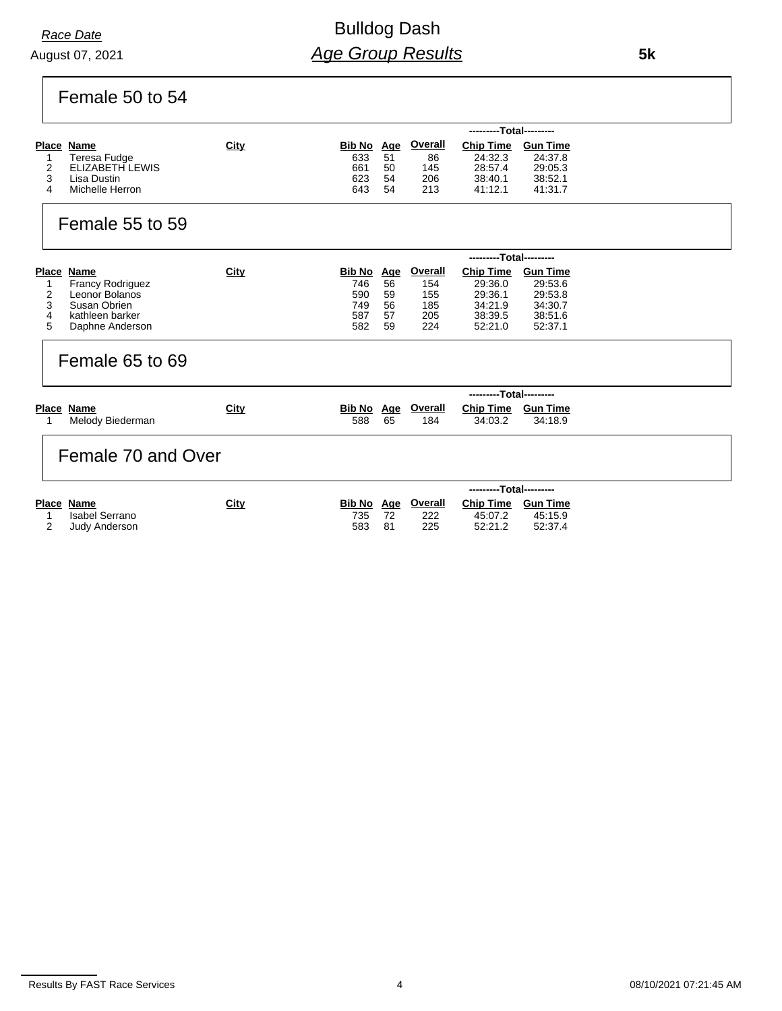## Bulldog Dash *Age Group Results*

Female 50 to 54

|   |                 |             |            |    |                | ---------Total--------- |                 |
|---|-----------------|-------------|------------|----|----------------|-------------------------|-----------------|
|   | Place Name      | <u>City</u> | Bib No Age |    | <b>Overall</b> | <b>Chip Time</b>        | <b>Gun Time</b> |
|   | Teresa Fudge    |             | 633        | 51 | 86             | 24:32.3                 | 24:37.8         |
|   | ELIZABETH LEWIS |             | 661        | 50 | 145            | 28:57.4                 | 29:05.3         |
|   | Lisa Dustin     |             | 623        | 54 | 206            | 38:40.1                 | 38:52.1         |
| 4 | Michelle Herron |             | 643        | 54 | 213            | 41:12.1                 | 41:31.7         |

### Female 55 to 59

|   |                         |             |            |    |         | ---------Total--------- |                 |
|---|-------------------------|-------------|------------|----|---------|-------------------------|-----------------|
|   | Place Name              | <u>City</u> | Bib No Age |    | Overall | <b>Chip Time</b>        | <b>Gun Time</b> |
|   | <b>Francy Rodriguez</b> |             | 746        | 56 | 154     | 29:36.0                 | 29:53.6         |
|   | Leonor Bolanos          |             | 590        | 59 | 155     | 29:36.1                 | 29:53.8         |
|   | Susan Obrien            |             | 749        | 56 | 185     | 34:21.9                 | 34:30.7         |
| 4 | kathleen barker         |             | 587        | 57 | 205     | 38:39.5                 | 38:51.6         |
| 5 | Daphne Anderson         |             | 582        | 59 | 224     | 52:21.0                 | 52:37.1         |

#### Female 65 to 69

|            |                  |             |     |    |                    | ---------Total--------- |         |
|------------|------------------|-------------|-----|----|--------------------|-------------------------|---------|
| Place Name |                  | <u>City</u> |     |    | Bib No Age Overall | Chip Time Gun Time      |         |
|            | Melody Biederman |             | 588 | 65 | 184                | 34:03.2                 | 34:18.9 |

#### Female 70 and Over

|                |             |     |    |                           | ---------Total--------- |          |
|----------------|-------------|-----|----|---------------------------|-------------------------|----------|
| Place Name     | <u>City</u> |     |    | <u>Bib No Age Overall</u> | Chip Time               | Gun Time |
| Isabel Serrano |             | 735 |    | 222                       | 45:07.2                 | 45:15.9  |
| Judy Anderson  |             | 583 | 81 | 225                       | 52:21.2                 | 52:37.4  |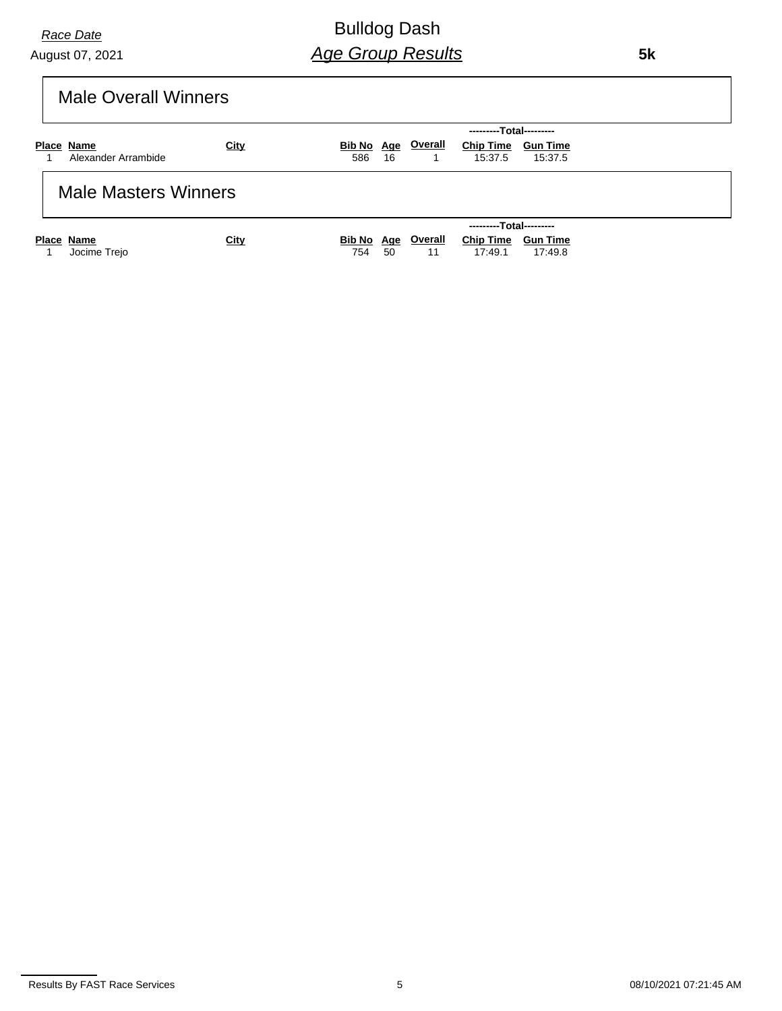Bulldog Dash *Age Group Results*

 **5k**

|  |  | <b>Male Overall Winners</b> |
|--|--|-----------------------------|
|--|--|-----------------------------|

|                             |             | ---------Total---------                                             |
|-----------------------------|-------------|---------------------------------------------------------------------|
| Place Name                  | <u>City</u> | <b>Overall</b><br><b>Chip Time</b><br>Bib No Age<br><b>Gun Time</b> |
| Alexander Arrambide         |             | 586<br>15:37.5<br>15:37.5<br>- 16                                   |
| <b>Male Masters Winners</b> |             |                                                                     |
|                             |             | ---------Total---------                                             |
| Place Name                  | <u>City</u> | <b>Overall</b><br><b>Chip Time</b><br>Bib No Age<br><b>Gun Time</b> |
| Jocime Trejo                |             | 17:49.1<br>17:49.8<br>754<br>50<br>11                               |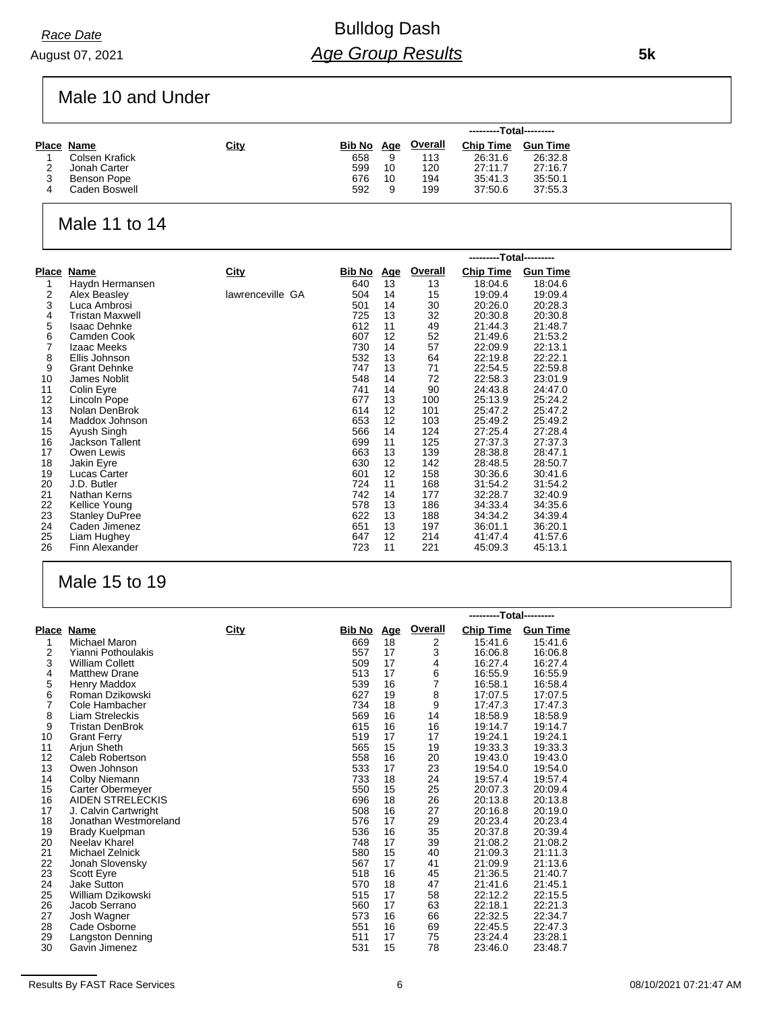August 07, 2021 *Race Date*

# Bulldog Dash *Age Group Results*

Male 10 and Under

|  |                |             |            |    |                | ---------Total--------- |                 |  |
|--|----------------|-------------|------------|----|----------------|-------------------------|-----------------|--|
|  | Place Name     | <u>City</u> | Bib No Age |    | <b>Overall</b> | <b>Chip Time</b>        | <b>Gun Time</b> |  |
|  | Colsen Krafick |             | 658        |    | 113            | 26:31.6                 | 26:32.8         |  |
|  | Jonah Carter   |             | 599        | 10 | 120            | 27:11.7                 | 27:16.7         |  |
|  | Benson Pope    |             | 676        | 10 | 194            | 35:41.3                 | 35:50.1         |  |
|  | Caden Boswell  |             | 592        | 9  | 199            | 37:50.6                 | 37:55.3         |  |

#### Male 11 to 14

|       |                        |                  |               |            |                | ---------Total--------- |                 |
|-------|------------------------|------------------|---------------|------------|----------------|-------------------------|-----------------|
| Place | Name                   | City             | <u>Bib No</u> | <u>Age</u> | <b>Overall</b> | <b>Chip Time</b>        | <b>Gun Time</b> |
|       | Haydn Hermansen        |                  | 640           | 13         | 13             | 18:04.6                 | 18:04.6         |
| 2     | Alex Beasley           | lawrenceville GA | 504           | 14         | 15             | 19:09.4                 | 19:09.4         |
| 3     | Luca Ambrosi           |                  | 501           | 14         | 30             | 20:26.0                 | 20:28.3         |
| 4     | <b>Tristan Maxwell</b> |                  | 725           | 13         | 32             | 20:30.8                 | 20:30.8         |
| 5     | <b>Isaac Dehnke</b>    |                  | 612           | 11         | 49             | 21:44.3                 | 21:48.7         |
| 6     | Camden Cook            |                  | 607           | 12         | 52             | 21:49.6                 | 21:53.2         |
| 7     | Izaac Meeks            |                  | 730           | 14         | 57             | 22:09.9                 | 22:13.1         |
| 8     | Ellis Johnson          |                  | 532           | 13         | 64             | 22:19.8                 | 22:22.1         |
| 9     | <b>Grant Dehnke</b>    |                  | 747           | 13         | 71             | 22:54.5                 | 22:59.8         |
| 10    | James Noblit           |                  | 548           | 14         | 72             | 22:58.3                 | 23:01.9         |
| 11    | Colin Eyre             |                  | 741           | 14         | 90             | 24:43.8                 | 24:47.0         |
| 12    | Lincoln Pope           |                  | 677           | 13         | 100            | 25:13.9                 | 25:24.2         |
| 13    | Nolan DenBrok          |                  | 614           | 12         | 101            | 25:47.2                 | 25:47.2         |
| 14    | Maddox Johnson         |                  | 653           | 12         | 103            | 25:49.2                 | 25:49.2         |
| 15    | Ayush Singh            |                  | 566           | 14         | 124            | 27:25.4                 | 27:28.4         |
| 16    | Jackson Tallent        |                  | 699           | 11         | 125            | 27:37.3                 | 27:37.3         |
| 17    | Owen Lewis             |                  | 663           | 13         | 139            | 28:38.8                 | 28:47.1         |
| 18    | Jakin Eyre             |                  | 630           | 12         | 142            | 28:48.5                 | 28:50.7         |
| 19    | Lucas Carter           |                  | 601           | 12         | 158            | 30:36.6                 | 30:41.6         |
| 20    | J.D. Butler            |                  | 724           | 11         | 168            | 31:54.2                 | 31:54.2         |
| 21    | Nathan Kerns           |                  | 742           | 14         | 177            | 32:28.7                 | 32:40.9         |
| 22    | Kellice Young          |                  | 578           | 13         | 186            | 34:33.4                 | 34:35.6         |
| 23    | <b>Stanley DuPree</b>  |                  | 622           | 13         | 188            | 34:34.2                 | 34:39.4         |
| 24    | Caden Jimenez          |                  | 651           | 13         | 197            | 36:01.1                 | 36:20.1         |
| 25    | Liam Hughey            |                  | 647           | 12         | 214            | 41:47.4                 | 41:57.6         |
| 26    | Finn Alexander         |                  | 723           | 11         | 221            | 45:09.3                 | 45:13.1         |

#### Male 15 to 19

|                |                         |      |        |            |         | ---------Total--------- |                 |  |  |  |
|----------------|-------------------------|------|--------|------------|---------|-------------------------|-----------------|--|--|--|
|                | Place Name              | City | Bib No | <u>Age</u> | Overall | <b>Chip Time</b>        | <b>Gun Time</b> |  |  |  |
| 1              | Michael Maron           |      | 669    | 18         | 2       | 15:41.6                 | 15:41.6         |  |  |  |
| 2              | Yianni Pothoulakis      |      | 557    | 17         | 3       | 16:06.8                 | 16:06.8         |  |  |  |
| 3              | <b>William Collett</b>  |      | 509    | 17         | 4       | 16:27.4                 | 16:27.4         |  |  |  |
| 4              | <b>Matthew Drane</b>    |      | 513    | 17         | 6       | 16:55.9                 | 16:55.9         |  |  |  |
| 5              | Henry Maddox            |      | 539    | 16         | 7       | 16:58.1                 | 16:58.4         |  |  |  |
| 6              | Roman Dzikowski         |      | 627    | 19         | 8       | 17:07.5                 | 17:07.5         |  |  |  |
| $\overline{7}$ | Cole Hambacher          |      | 734    | 18         | 9       | 17:47.3                 | 17:47.3         |  |  |  |
| 8              | Liam Streleckis         |      | 569    | 16         | 14      | 18:58.9                 | 18:58.9         |  |  |  |
| 9              | <b>Tristan DenBrok</b>  |      | 615    | 16         | 16      | 19:14.7                 | 19:14.7         |  |  |  |
| 10             | <b>Grant Ferry</b>      |      | 519    | 17         | 17      | 19:24.1                 | 19:24.1         |  |  |  |
| 11             | Arjun Sheth             |      | 565    | 15         | 19      | 19:33.3                 | 19:33.3         |  |  |  |
| 12             | Caleb Robertson         |      | 558    | 16         | 20      | 19:43.0                 | 19:43.0         |  |  |  |
| 13             | Owen Johnson            |      | 533    | 17         | 23      | 19:54.0                 | 19:54.0         |  |  |  |
| 14             | Colby Niemann           |      | 733    | 18         | 24      | 19:57.4                 | 19:57.4         |  |  |  |
| 15             | Carter Obermeyer        |      | 550    | 15         | 25      | 20:07.3                 | 20:09.4         |  |  |  |
| 16             | <b>AIDEN STRELECKIS</b> |      | 696    | 18         | 26      | 20:13.8                 | 20:13.8         |  |  |  |
| 17             | J. Calvin Cartwright    |      | 508    | 16         | 27      | 20:16.8                 | 20:19.0         |  |  |  |
| 18             | Jonathan Westmoreland   |      | 576    | 17         | 29      | 20:23.4                 | 20:23.4         |  |  |  |
| 19             | Brady Kuelpman          |      | 536    | 16         | 35      | 20:37.8                 | 20:39.4         |  |  |  |
| 20             | Neelay Kharel           |      | 748    | 17         | 39      | 21:08.2                 | 21:08.2         |  |  |  |
| 21             | Michael Zelnick         |      | 580    | 15         | 40      | 21:09.3                 | 21:11.3         |  |  |  |
| 22             | Jonah Slovensky         |      | 567    | 17         | 41      | 21:09.9                 | 21:13.6         |  |  |  |
| 23             | <b>Scott Eyre</b>       |      | 518    | 16         | 45      | 21:36.5                 | 21:40.7         |  |  |  |
| 24             | Jake Sutton             |      | 570    | 18         | 47      | 21:41.6                 | 21:45.1         |  |  |  |
| 25             | William Dzikowski       |      | 515    | 17         | 58      | 22:12.2                 | 22:15.5         |  |  |  |
| 26             | Jacob Serrano           |      | 560    | 17         | 63      | 22:18.1                 | 22:21.3         |  |  |  |
| 27             | Josh Wagner             |      | 573    | 16         | 66      | 22:32.5                 | 22:34.7         |  |  |  |
| 28             | Cade Osborne            |      | 551    | 16         | 69      | 22:45.5                 | 22:47.3         |  |  |  |
| 29             | Langston Denning        |      | 511    | 17         | 75      | 23:24.4                 | 23:28.1         |  |  |  |
| 30             | Gavin Jimenez           |      | 531    | 15         | 78      | 23:46.0                 | 23:48.7         |  |  |  |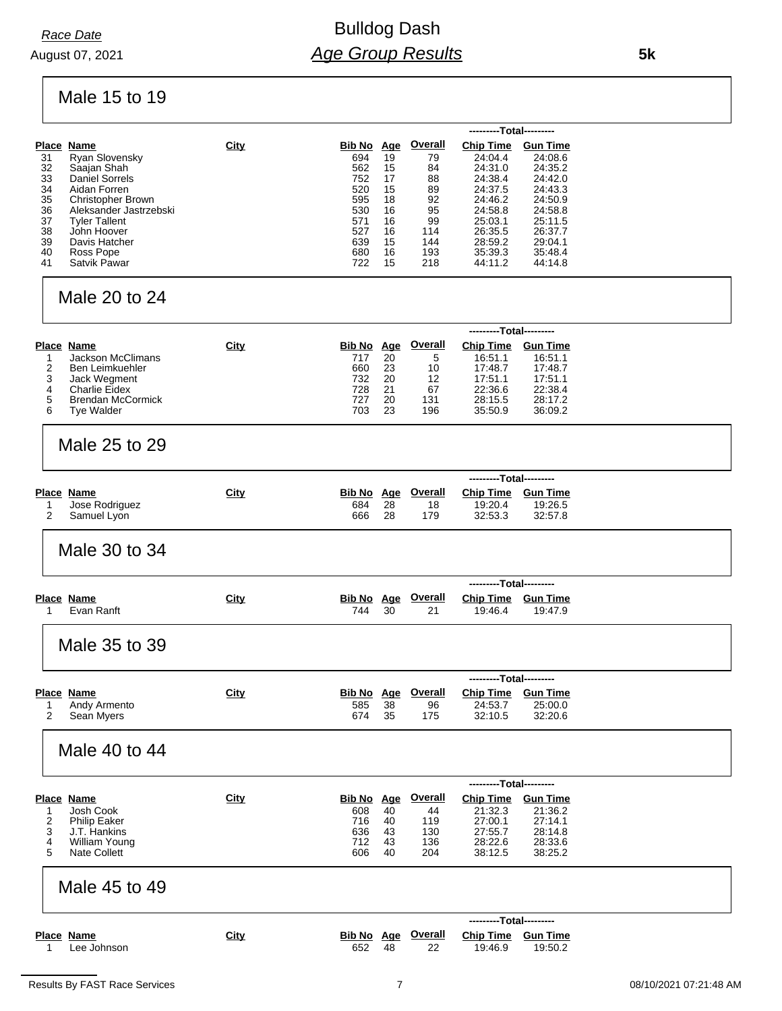## Bulldog Dash *Age Group Results*

Male 15 to 19

| Place Name               | <b>City</b>    |     |    | <b>Overall</b>       | <b>Chip Time</b> | <b>Gun Time</b>         |
|--------------------------|----------------|-----|----|----------------------|------------------|-------------------------|
|                          |                | 694 | 19 | 79                   | 24:04.4          | 24:08.6                 |
| Saajan Shah              |                | 562 | 15 | 84                   | 24:31.0          | 24:35.2                 |
| Daniel Sorrels           |                | 752 | 17 | 88                   | 24:38.4          | 24:42.0                 |
| Aidan Forren             |                | 520 | 15 | 89                   | 24:37.5          | 24:43.3                 |
| <b>Christopher Brown</b> |                | 595 | 18 | 92                   | 24:46.2          | 24:50.9                 |
| Aleksander Jastrzebski   |                | 530 | 16 | 95                   | 24:58.8          | 24:58.8                 |
| <b>Tyler Tallent</b>     |                | 571 | 16 | 99                   | 25:03.1          | 25:11.5                 |
| John Hoover              |                | 527 | 16 | 114                  | 26:35.5          | 26:37.7                 |
| Davis Hatcher            |                | 639 | 15 | 144                  | 28:59.2          | 29:04.1                 |
| Ross Pope                |                | 680 | 16 | 193                  | 35:39.3          | 35:48.4                 |
| Satvik Pawar             |                | 722 | 15 | 218                  | 44:11.2          | 44:14.8                 |
|                          | Ryan Slovensky |     |    | Bib No<br><u>Age</u> |                  | ---------Total--------- |

### Male 20 to 24

|   |                          |      |            |    |         | ---------Total--------- |                 |
|---|--------------------------|------|------------|----|---------|-------------------------|-----------------|
|   | Place Name               | City | Bib No Age |    | Overall | <b>Chip Time</b>        | <b>Gun Time</b> |
|   | <b>Jackson McClimans</b> |      | 717        | 20 | 5       | 16:51.1                 | 16:51.1         |
|   | Ben Leimkuehler          |      | 660        | 23 | 10      | 17:48.7                 | 17:48.7         |
|   | Jack Wegment             |      | 732        | 20 | 12      | 17:51.1                 | 17:51.1         |
|   | Charlie Eidex            |      | 728        | 21 | 67      | 22:36.6                 | 22:38.4         |
| 5 | <b>Brendan McCormick</b> |      | 727        | 20 | 131     | 28:15.5                 | 28:17.2         |
| 6 | Tye Walder               |      | 703        | 23 | 196     | 35:50.9                 | 36:09.2         |

### Male 25 to 29

|                |      |     |    |                    | ---------Total--------- |                 |  |
|----------------|------|-----|----|--------------------|-------------------------|-----------------|--|
| Place Name     | City |     |    | Bib No Age Overall | <b>Chip Time</b>        | <b>Gun Time</b> |  |
| Jose Rodriguez |      | 684 | 28 | 18                 | 19:20.4                 | 19:26.5         |  |
| Samuel Lyon    |      | 666 | 28 | 179                | 32:53.3                 | 32:57.8         |  |

### Male 30 to 34

|            |             | ---------Total--------- |    |                           |                           |         |  |
|------------|-------------|-------------------------|----|---------------------------|---------------------------|---------|--|
| Place Name | <b>City</b> |                         |    | <b>Bib No Age Overall</b> | <b>Chip Time Gun Time</b> |         |  |
| Evan Ranft |             | 744                     | 30 | 21                        | 19:46.4                   | 19:47.9 |  |

Male 35 to 39

|              |      |     |    |                           | ---------Total--------- |          |  |
|--------------|------|-----|----|---------------------------|-------------------------|----------|--|
| Place Name   | City |     |    | <u>Bib No Age Overall</u> | <b>Chip Time</b>        | Gun Time |  |
| Andy Armento |      | 585 | 38 | 96                        | 24:53.7                 | 25:00.0  |  |
| Sean Mvers   |      | 674 | 35 | 175                       | 32:10.5                 | 32:20.6  |  |

#### Male 40 to 44

|                     |      |        |            |         | ---------Total--------- |                 |
|---------------------|------|--------|------------|---------|-------------------------|-----------------|
| Place Name          | City | Bib No | <u>Age</u> | Overall | <b>Chip Time</b>        | <b>Gun Time</b> |
| Josh Cook           |      | 608    | 40         | 44      | 21:32.3                 | 21:36.2         |
| <b>Philip Eaker</b> |      | 716    | 40         | 119     | 27:00.1                 | 27:14.1         |
| J.T. Hankins        |      | 636    | 43         | 130     | 27:55.7                 | 28:14.8         |
| William Young       |      | 712    | 43         | 136     | 28:22.6                 | 28:33.6         |
| Nate Collett        |      | 606    | 40         | 204     | 38:12.5                 | 38:25.2         |

#### Male 45 to 49

|             |      |     |    |                    | ---------Total--------- |         |
|-------------|------|-----|----|--------------------|-------------------------|---------|
| Place Name  | City |     |    | Bib No Age Overall | Chip Time Gun Time      |         |
| Lee Johnson |      | 652 | 48 |                    | 19:46.9                 | 19:50.2 |